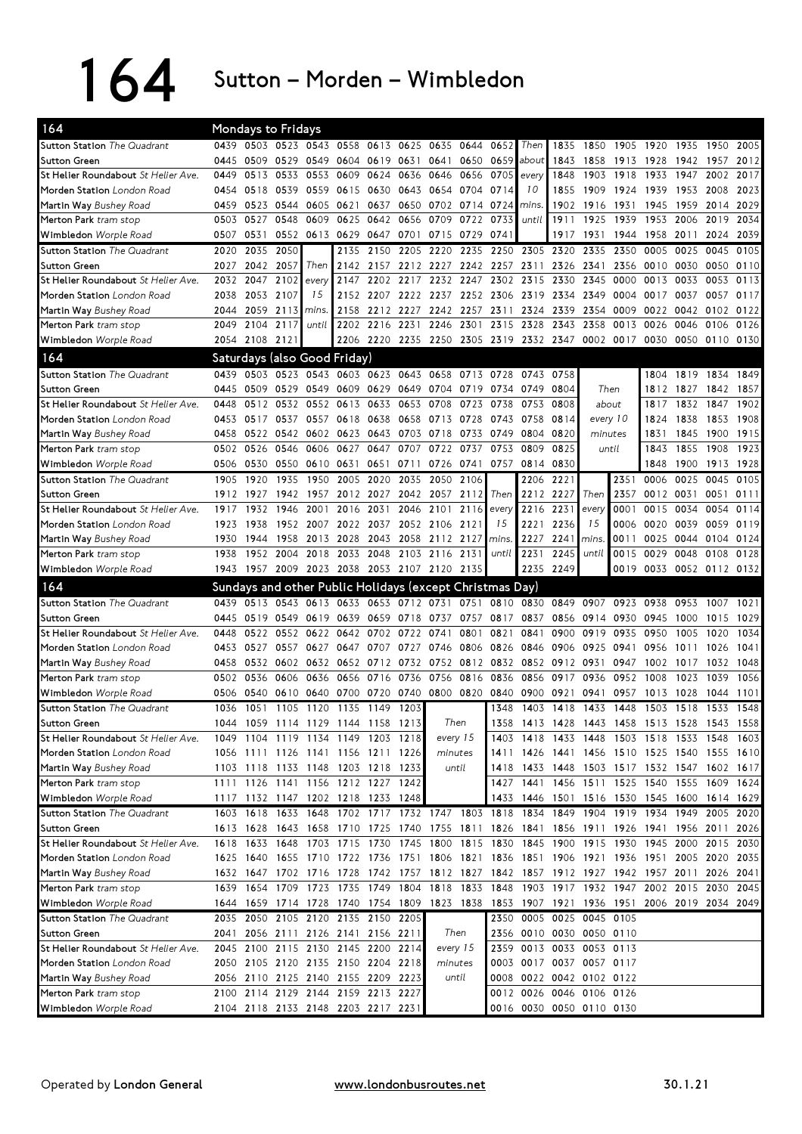164 Sutton – Morden – Wimbledon

| 164                                            |      | Mondays to Fridays |                               |                                                                                           |                |                |      |                                                        |           |       |                                                      |                                         |                |      |                          |           |           |      |
|------------------------------------------------|------|--------------------|-------------------------------|-------------------------------------------------------------------------------------------|----------------|----------------|------|--------------------------------------------------------|-----------|-------|------------------------------------------------------|-----------------------------------------|----------------|------|--------------------------|-----------|-----------|------|
| <b>Sutton Station</b> The Quadrant             |      |                    |                               | 0439 0503 0523 0543 0558 0613 0625 0635 0644                                              |                |                |      |                                                        |           | 0652  | Then                                                 | 1835                                    |                |      | 1850 1905 1920 1935      |           | 1950 2005 |      |
| Sutton Green                                   | 0445 | 0509               | 0529 0549                     |                                                                                           |                | 0604 0619 0631 |      | 0641 0650                                              |           | 0659  | about                                                | 1843                                    | 1858           | 1913 | 1928                     | 1942      | 1957      | 2012 |
| St Helier Roundabout St Helier Ave.            | 0449 | 0513               | 0533                          | 0553                                                                                      | 0609           | 0624           | 0636 | 0646                                                   | 0656      | 0705  | every                                                | 1848                                    | 1903           | 1918 | 1933                     | 1947      | 2002      | 2017 |
| Morden Station London Road                     |      | 0454 0518 0539     |                               | 0559                                                                                      | 0615 0630 0643 |                |      | 0654 0704                                              |           | 0714  | 10                                                   | 1855                                    | 1909           | 1924 | 1939                     | 1953      | 2008      | 2023 |
| Martin Way Bushey Road                         | 0459 | 0523               | 0544                          | 0605                                                                                      | 0621           | 0637           | 0650 | 0702                                                   | 0714      | 0724  | mins.                                                | 1902                                    | 1916           | 1931 | 1945                     | 1959      | 2014      | 2029 |
| Merton Park tram stop                          | 0503 | 0527               | 0548                          | 0609                                                                                      | 0625           | 0642           | 0656 | 0709                                                   | 0722      | 0733  | until                                                | 1911                                    | 1925           | 1939 | 1953                     | 2006      | 2019      | 2034 |
| Wimbledon Worple Road                          | 0507 | 0531               |                               | 0552 0613                                                                                 | 0629           | 0647 0701      |      | 0715 0729                                              |           | 0741  |                                                      | 1917                                    | 1931           | 1944 | 1958                     | 2011      | 2024      | 2039 |
| <b>Sutton Station</b> The Quadrant             | 2020 | 2035               | 2050                          |                                                                                           | 2135           | 2150           | 2205 | 2220                                                   | 2235      |       | 2250 2305 2320                                       |                                         | 2335           | 2350 | 0005                     | 0025      | 0045      | 0105 |
| Sutton Green                                   | 2027 | 2042               | 2057                          | Then                                                                                      | 2142           | 2157           | 2212 | 2227                                                   | 2242      | 2257  | 2311                                                 | 2326                                    | 2341           | 2356 | 0010                     | 0030      | 0050      | 0110 |
| St Helier Roundabout St Helier Ave.            | 2032 | 2047               | 2102                          | every                                                                                     | 2147           | 2202           | 2217 | 2232                                                   | 2247      | 2302  | 2315                                                 | 2330                                    | 2345           | 0000 | 0013                     | 0033      | 0053      | 0113 |
| Morden Station London Road                     | 2038 | 2053               | 2107                          | 15                                                                                        | 2152           | 2207           | 2222 | 2237                                                   | 2252      | 2306  | 2319                                                 | 2334                                    | 2349           | 0004 | 0017                     | 0037      | 0057      | 0117 |
| Martin Way Bushey Road                         | 2044 | 2059               | 2113                          | mins.                                                                                     | 2158           | 2212           | 2227 | 2242                                                   | 2257      | 2311  | 2324                                                 | 2339                                    | 2354           | 0009 | 0022                     | 0042      | 0102      | 0122 |
| Merton Park tram stop                          | 2049 | 2104               | 2117                          | until                                                                                     | 2202           | 2216           | 2231 | 2246                                                   | 2301      | 2315  | 2328                                                 | 2343                                    | 2358           | 0013 | 0026                     | 0046      | 0106      | 0126 |
| Wimbledon Worple Road                          |      | 2054 2108 2121     |                               |                                                                                           |                | 2206 2220 2235 |      | 2250 2305 2319 2332 2347                               |           |       |                                                      |                                         | 0002 0017      |      | 0030                     | 0050      | 0110 0130 |      |
| 164                                            |      |                    |                               | Saturdays (also Good Friday)                                                              |                |                |      |                                                        |           |       |                                                      |                                         |                |      |                          |           |           |      |
| Sutton Station The Quadrant                    | 0439 | 0503               |                               | 0523 0543 0603 0623 0643                                                                  |                |                |      | 0658                                                   | 0713      | 0728  | 0743                                                 | 0758                                    |                |      | 1804                     | 1819 1834 |           | 1849 |
| <b>Sutton Green</b>                            | 0445 | 0509               | 0529 0549                     |                                                                                           | 0609 0629 0649 |                |      | 0704 0719                                              |           | 0734  | 0749                                                 | 0804                                    | Then           |      | 1812                     | 1827      | 1842      | 1857 |
| St Helier Roundabout St Helier Ave.            | 0448 | 0512               | 0532                          | 0552                                                                                      | 0613           | 0633           | 0653 | 0708                                                   | 0723      | 0738  | 0753                                                 | 0808                                    | about          |      | 1817                     | 1832      | 1847      | 1902 |
| Morden Station London Road                     | 0453 | 0517               | 0537                          | 0557                                                                                      |                | 0618 0638      | 0658 | 0713 0728                                              |           | 0743  | 0758                                                 | 0814                                    | every 10       |      | 1824                     | 1838      | 1853 1908 |      |
| Martin Way Bushey Road                         | 0458 | 0522               |                               | 0542 0602 0623 0643 0703                                                                  |                |                |      | 0718                                                   | 0733      | 0749  | 0804                                                 | 0820                                    | minutes        |      | 1831                     | 1845      | 1900      | 1915 |
| Merton Park tram stop                          |      | 0502 0526          | 0546                          | 0606                                                                                      | 0627           | 0647           | 0707 | 0722                                                   | 0737      | 0753  | 0809                                                 | 0825                                    | until          |      | 1843                     | 1855      | 1908      | 1923 |
| Wimbledon Worple Road                          | 0506 | 0530               | 0550 0610                     |                                                                                           | 0631           | 0651 0711      |      | 0726 0741                                              |           | 0757  | 0814                                                 | 0830                                    |                |      | 1848                     | 1900      | 1913 1928 |      |
| Sutton Station The Quadrant                    | 1905 | 1920               | 1935                          | 1950                                                                                      | 2005           | 2020           | 2035 | 2050                                                   | 2106      |       | 2206                                                 | 2221                                    |                | 2351 | 0006                     | 0025      | 0045      | 0105 |
| Sutton Green                                   | 1912 | 1927               | 1942                          | 1957                                                                                      |                | 2012 2027      | 2042 |                                                        | 2057 2112 | Then  | 2212                                                 | 2227                                    | Then           | 2357 | 0012 0031                |           | 0051      | 0111 |
| St Helier Roundabout St Helier Ave.            | 1917 | 1932               | 1946                          | 2001                                                                                      | 2016           | 2031           | 2046 | 2101                                                   | 2116      | every | 2216                                                 | 223'                                    | every          | 0001 | 0015                     | 0034      | 0054      | 0114 |
| Morden Station London Road                     | 1923 | 1938               |                               | 1952 2007                                                                                 |                | 2022 2037      |      | 2052 2106 2121                                         |           | 15    | 2221                                                 | 2236                                    | 15             | 0006 | 0020                     | 0039      | 0059      | 0119 |
| Martin Way Bushey Road                         | 1930 | 1944               | 1958                          | 2013                                                                                      | 2028           | 2043           | 2058 | 2112 2127                                              |           | mins. | 2227                                                 | $224^{\circ}$                           | mins.          | 0011 | 0025                     | 0044      | 0104      | 0124 |
| Merton Park tram stop                          | 1938 | 1952               | 2004                          | 2018                                                                                      |                | 2033 2048      | 2103 | 2116                                                   | 2131      | until | 2231                                                 | 2245                                    | until          | 0015 | 0029 0048                |           | 0108      | 0128 |
|                                                |      |                    |                               |                                                                                           |                |                |      |                                                        |           |       |                                                      |                                         |                |      |                          |           |           |      |
|                                                |      |                    |                               |                                                                                           |                |                |      |                                                        |           |       |                                                      |                                         |                |      |                          |           |           |      |
| Wimbledon Worple Road                          |      | 1943 1957          | 2009 2023 2038 2053 2107 2120 |                                                                                           |                |                |      |                                                        | 2135      |       |                                                      | 2235 2249                               |                | 0019 | 0033 0052 0112 0132      |           |           |      |
| 164                                            |      |                    |                               | Sundays and other Public Holidays (except Christmas Day)                                  |                |                |      |                                                        |           |       |                                                      |                                         |                |      |                          |           |           |      |
| <b>Sutton Station</b> The Quadrant             | 0439 | 0513               |                               | 0543 0613                                                                                 | 0633           | 0653           | 0712 | 0731                                                   | 0751      |       | 0810 0830                                            | 0849                                    | 0907           | 0923 | 0938                     | 0953      | 1007      | 1021 |
| <b>Sutton Green</b>                            | 0445 | 0519               | 0549 0619                     |                                                                                           | 0639           | 0659           | 0718 | 0737                                                   | 0757      | 0817  | 0837                                                 |                                         | 0856 0914 0930 |      | 0945                     | 1000      | 1015      | 1029 |
| St Helier Roundabout St Helier Ave.            | 0448 | 0522               | 0552                          | 0622                                                                                      | 0642           | 0702           | 0722 | 0741                                                   | 0801      | 0821  | 0841                                                 | 0900                                    | 0919           | 0935 | 0950                     | 1005      | 1020      | 1034 |
| Morden Station London Road                     | 0453 | 0527               | 0557                          | 0627                                                                                      | 0647           | 0707           | 0727 | 0746                                                   | 0806      | 0826  | 0846                                                 | 0906                                    | 0925           | 0941 | 0956                     | 1011      | 1026      | 1041 |
| Martin Way Bushey Road                         | 0458 | 0532               | 0602                          | 0632                                                                                      |                | 0652 0712      | 0732 |                                                        | 0752 0812 | 0832  | 0852                                                 | 0912                                    | 0931           | 0947 | 1002                     | 1017      | 1032      | 1048 |
| Merton Park tram stop                          | 0502 | 0536               | 0606                          | 0636                                                                                      | 0656           | 0716           | 0736 | 0756                                                   | 0816      | 0836  | 0856                                                 | 0917                                    | 0936           | 0952 | 1008                     | 1023      | 1039      | 1056 |
| Wimbledon Worple Road                          |      | 0506 0540          |                               | 0610 0640                                                                                 |                |                |      | 0700 0720 0740 0800 0820                               |           | 0840  | 0900                                                 | 0921                                    | 0941           | 0957 | 1013                     | 1028      | 1044      | 1101 |
| <b>Sutton Station</b> The Quadrant             |      | 1036 1051          |                               | 1105 1120 1135 1149 1203                                                                  |                |                |      |                                                        |           | 1348  |                                                      | 1403 1418                               | 1433 1448      |      | 1503 1518                |           | 1533      | 1548 |
| Sutton Green                                   | 1044 |                    |                               | 1059 1114 1129 1144 1158                                                                  |                |                | 1213 | Then                                                   |           | 1358  |                                                      | 1413 1428                               | 1443 1458      |      | 1513 1528                |           | 1543      | 1558 |
| St Helier Roundabout St Helier Ave.            |      |                    |                               | 1049 1104 1119 1134 1149 1203 1218                                                        |                |                |      | every 15                                               |           |       | 1403 1418 1433 1448                                  |                                         |                |      | 1503 1518 1533 1548 1603 |           |           |      |
| Morden Station London Road                     |      |                    |                               | 1056 1111 1126 1141 1156 1211 1226                                                        |                |                |      | minutes                                                |           | 1411  |                                                      | 1426 1441 1456 1510 1525 1540 1555 1610 |                |      |                          |           |           |      |
| Martin Way Bushey Road                         |      |                    |                               | 1103 1118 1133 1148 1203 1218 1233                                                        |                |                |      | until                                                  |           |       | 1418 1433 1448 1503 1517 1532 1547 1602 1617         |                                         |                |      |                          |           |           |      |
| Merton Park tram stop                          |      |                    |                               | 1111 1126 1141 1156 1212 1227 1242                                                        |                |                |      |                                                        |           |       | 1427 1441 1456 1511 1525 1540 1555 1609 1624         |                                         |                |      |                          |           |           |      |
| Wimbledon Worple Road                          |      |                    |                               | 1117 1132 1147 1202 1218 1233 1248                                                        |                |                |      |                                                        |           |       | 1433 1446 1501 1516 1530 1545 1600 1614 1629         |                                         |                |      |                          |           |           |      |
| <b>Sutton Station</b> The Quadrant             |      | 1603 1618          | 1633 1648                     |                                                                                           |                |                |      | 1702 1717 1732 1747 1803 1818                          |           |       |                                                      | 1834 1849 1904 1919 1934 1949           |                |      |                          |           | 2005      | 2020 |
| <b>Sutton Green</b>                            |      |                    |                               | 1613 1628 1643 1658 1710 1725 1740 1755 1811 1826 1841 1856 1911 1926 1941 1956 2011      |                |                |      |                                                        |           |       |                                                      |                                         |                |      |                          |           |           | 2026 |
| St Helier Roundabout St Helier Ave.            |      | 1618 1633 1648     |                               | 1703 1715 1730 1745                                                                       |                |                |      | 1800 1815 1830 1845 1900 1915 1930 1945 2000 2015 2030 |           |       |                                                      |                                         |                |      |                          |           |           |      |
| Morden Station London Road                     |      |                    |                               | 1625 1640 1655 1710 1722 1736 1751 1806 1821 1836 1851 1906 1921 1936 1951 2005 2020 2035 |                |                |      |                                                        |           |       |                                                      |                                         |                |      |                          |           |           |      |
| Martin Way Bushey Road                         |      |                    |                               | 1632 1647 1702 1716 1728 1742 1757 1812 1827 1842 1857 1912 1927 1942 1957 2011 2026 2041 |                |                |      |                                                        |           |       |                                                      |                                         |                |      |                          |           |           |      |
| Merton Park tram stop                          |      |                    |                               | 1639 1654 1709 1723 1735 1749 1804 1818 1833 1848 1903 1917 1932 1947 2002 2015 2030 2045 |                |                |      |                                                        |           |       |                                                      |                                         |                |      |                          |           |           |      |
| Wimbledon Worple Road                          |      |                    |                               | 1644 1659 1714 1728 1740 1754 1809 1823 1838 1853 1907 1921 1936 1951 2006 2019 2034 2049 |                |                |      |                                                        |           |       |                                                      |                                         |                |      |                          |           |           |      |
| <b>Sutton Station</b> The Quadrant             |      |                    |                               | 2035 2050 2105 2120 2135 2150 2205                                                        |                |                |      |                                                        |           |       | 2350 0005 0025 0045 0105                             |                                         |                |      |                          |           |           |      |
| <b>Sutton Green</b>                            | 2041 |                    |                               | 2056 2111 2126 2141 2156 2211                                                             |                |                |      | Then                                                   |           |       | 2356 0010 0030 0050 0110                             |                                         |                |      |                          |           |           |      |
| St Helier Roundabout St Helier Ave.            |      |                    |                               | 2045 2100 2115 2130 2145 2200 2214                                                        |                |                |      | every 15                                               |           |       | 2359 0013 0033 0053 0113                             |                                         |                |      |                          |           |           |      |
| Morden Station London Road                     |      |                    |                               | 2050 2105 2120 2135 2150 2204 2218                                                        |                |                |      | minutes                                                |           |       | 0003 0017 0037 0057 0117                             |                                         |                |      |                          |           |           |      |
| Martin Way Bushey Road                         |      |                    |                               | 2056 2110 2125 2140 2155 2209 2223                                                        |                |                |      |                                                        | until     |       | 0008 0022 0042 0102 0122                             |                                         |                |      |                          |           |           |      |
| Merton Park tram stop<br>Wimbledon Worple Road |      |                    |                               | 2100 2114 2129 2144 2159 2213 2227<br>2104 2118 2133 2148 2203 2217 2231                  |                |                |      |                                                        |           |       | 0012 0026 0046 0106 0126<br>0016 0030 0050 0110 0130 |                                         |                |      |                          |           |           |      |